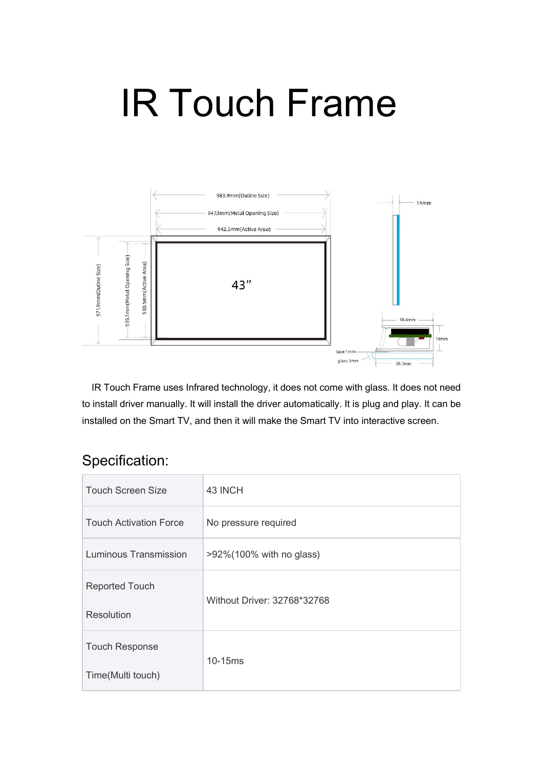## IR Touch Frame



IR Touch Frame uses Infrared technology, it does not come with glass. It does not need to install driver manually. It will install the driver automatically. It is plug and play. It can be installed on the Smart TV, and then it will make the Smart TV into interactive screen.

## Specification:

| <b>Touch Screen Size</b>      | 43 INCH                     |
|-------------------------------|-----------------------------|
| <b>Touch Activation Force</b> | No pressure required        |
| Luminous Transmission         | >92%(100% with no glass)    |
| <b>Reported Touch</b>         | Without Driver: 32768*32768 |
| Resolution                    |                             |
| <b>Touch Response</b>         | 10-15ms                     |
| Time(Multi touch)             |                             |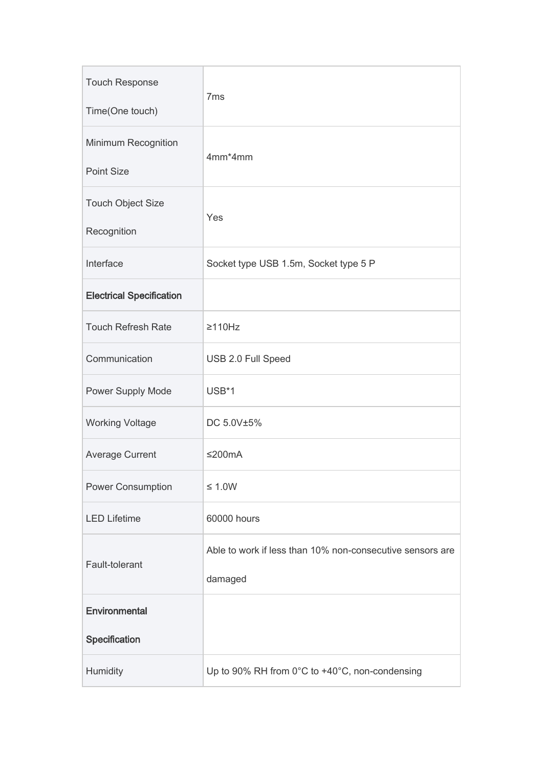| <b>Touch Response</b><br>Time(One touch) | 7 <sub>ms</sub>                                                      |
|------------------------------------------|----------------------------------------------------------------------|
| Minimum Recognition<br><b>Point Size</b> | 4mm*4mm                                                              |
| <b>Touch Object Size</b><br>Recognition  | Yes                                                                  |
| Interface                                | Socket type USB 1.5m, Socket type 5 P                                |
| <b>Electrical Specification</b>          |                                                                      |
| <b>Touch Refresh Rate</b>                | $\geq$ 110Hz                                                         |
| Communication                            | USB 2.0 Full Speed                                                   |
| Power Supply Mode                        | USB*1                                                                |
| <b>Working Voltage</b>                   | DC 5.0V±5%                                                           |
| <b>Average Current</b>                   | ≤200 $mA$                                                            |
| <b>Power Consumption</b>                 | $\leq 1.0W$                                                          |
| <b>LED Lifetime</b>                      | 60000 hours                                                          |
| Fault-tolerant                           | Able to work if less than 10% non-consecutive sensors are<br>damaged |
| Environmental                            |                                                                      |
| Specification                            |                                                                      |
| Humidity                                 | Up to 90% RH from 0°C to +40°C, non-condensing                       |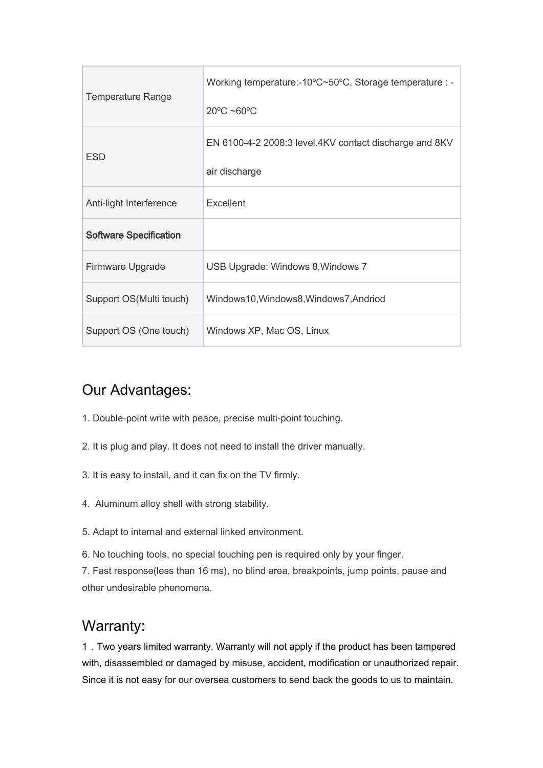| <b>Temperature Range</b>      | Working temperature:-10°C~50°C, Storage temperature : -<br>$20^{\circ}$ C ~60 $^{\circ}$ C |
|-------------------------------|--------------------------------------------------------------------------------------------|
| <b>ESD</b>                    | EN 6100-4-2 2008:3 level.4KV contact discharge and 8KV<br>air discharge                    |
| Anti-light Interference       | Excellent                                                                                  |
| <b>Software Specification</b> |                                                                                            |
| Firmware Upgrade              | USB Upgrade: Windows 8, Windows 7                                                          |
| Support OS(Multi touch)       | Windows10, Windows8, Windows7, Andriod                                                     |
| Support OS (One touch)        | Windows XP, Mac OS, Linux                                                                  |

## Our Advantages:

- 1. Double-point write with peace, precise multi-point touching.
- 2. It is plug and play. It does not need to install the driver manually.
- 3. It is easy to install, and it can fix on the TV firmly.
- 4. Aluminum alloy shell with strong stability.
- 5. Adapt to internal and external linked environment.
- 6. No touching tools, no special touching pen is required only by your finger.

7. Fast response(less than 16 ms), no blind area, breakpoints, jump points, pause and other undesirable phenomena.

## Warranty:

1.Two years limited warranty. Warranty will not apply if the product has been tampered with, disassembled or damaged by misuse, accident, modification or unauthorized repair. Since it is not easy for our oversea customers to send back the goods to us to maintain.